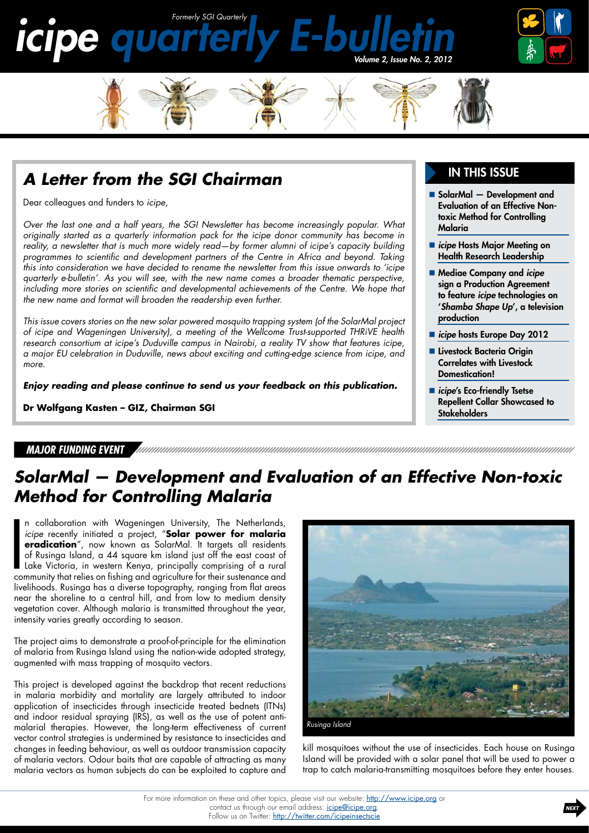



### *A Letter from the SGI Chairman*

Dear colleagues and funders to *icipe,*

*Over the last one and a half years, the SGI newsletter has become increasingly popular. What originally started as a quarterly information pack for the icipe donor community has become in reality, a newsletter that is much more widely read—by former alumni of icipe's capacity building programmes to scientific and development partners of the Centre in Africa and beyond. Taking this into consideration we have decided to rename the newsletter from this issue onwards to 'icipe quarterly e-bulletin'. As you will see, with the new name comes a broader thematic perspective,*  including more stories on scientific and developmental achievements of the Centre. We hope that *the new name and format will broaden the readership even further.*

*This issue covers stories on the new solar powered mosquito trapping system (of the SolarMal project of icipe and Wageningen University), a meeting of the Wellcome Trust-supported THRiVE health research consortium at icipe's Duduville campus in Nairobi, a reality TV show that features icipe, a major EU celebration in Duduville, news about exciting and cutting-edge science from icipe, and more.*

*Enjoy reading and please continue to send us your feedback on this publication.*

**Dr Wolfgang Kasten – GIZ, Chairman SGI**

#### *Major Funding Event*

#### In this issue

- SolarMal Development and Evaluation of an Effective Nontoxic Method for Controlling Malaria
- *icipe* Hosts Major Meeting on [Health Research Leadership](#page-1-0)
- [Mediae Company and](#page-2-0) *icipe* [sign a Production Agreement](#page-2-0)  to feature *icipe* [technologies on](#page-2-0)  '*[Shamba Shape Up](#page-2-0)*', a television [production](#page-2-0)
- **E** icipe [hosts Europe Day 2012](#page-2-0)
- **Livestock Bacteria Origin** [Correlates with Livestock](#page-3-0)  [Domestication!](#page-3-0)
- **F** *icipe's* Eco-friendly Tsetse [Repellent Collar Showcased to](#page-3-0)  **[Stakeholders](#page-3-0)**

## *SolarMal — Development and Evaluation of an Effective Non-toxic Method for Controlling Malaria*

n collaboration with Wageningen University, The Netherlands, *icipe* recently initiated a project, "**Solar power for malaria eradication**", now known as SolarMal. It targets all residents of Rusinga Island, a 44 square km n collaboration with Wageningen University, The Netherlands, *icipe* recently initiated a project, "**Solar power for malaria eradication**", now known as SolarMal. It targets all residents of Rusinga Island, a 44 square km island just off the east coast of Lake Victoria, in western Kenya, principally comprising of a rural livelihoods. Rusinga has a diverse topography, ranging from flat areas near the shoreline to a central hill, and from low to medium density vegetation cover. Although malaria is transmitted throughout the year, intensity varies greatly according to season.

The project aims to demonstrate a proof-of-principle for the elimination of malaria from Rusinga Island using the nation-wide adopted strategy, augmented with mass trapping of mosquito vectors.

This project is developed against the backdrop that recent reductions in malaria morbidity and mortality are largely attributed to indoor application of insecticides through insecticide treated bednets (ITNs) and indoor residual spraying (IRS), as well as the use of potent antimalarial therapies. However, the long-term effectiveness of current vector control strategies is undermined by resistance to insecticides and changes in feeding behaviour, as well as outdoor transmission capacity of malaria vectors. Odour baits that are capable of attracting as many malaria vectors as human subjects do can be exploited to capture and



kill mosquitoes without the use of insecticides. Each house on Rusinga Island will be provided with a solar panel that will be used to power a trap to catch malaria-transmitting mosquitoes before they enter houses.

For more information on these and other topics, please visit our website: <http://www.icipe.org> or contact us through our email address: *[icipe@icipe.org](mailto:icipe%40icipe.org?subject=Contact%20icipe)*. Follow us on Twitter: <http://twitter.com/icipeinsectscie>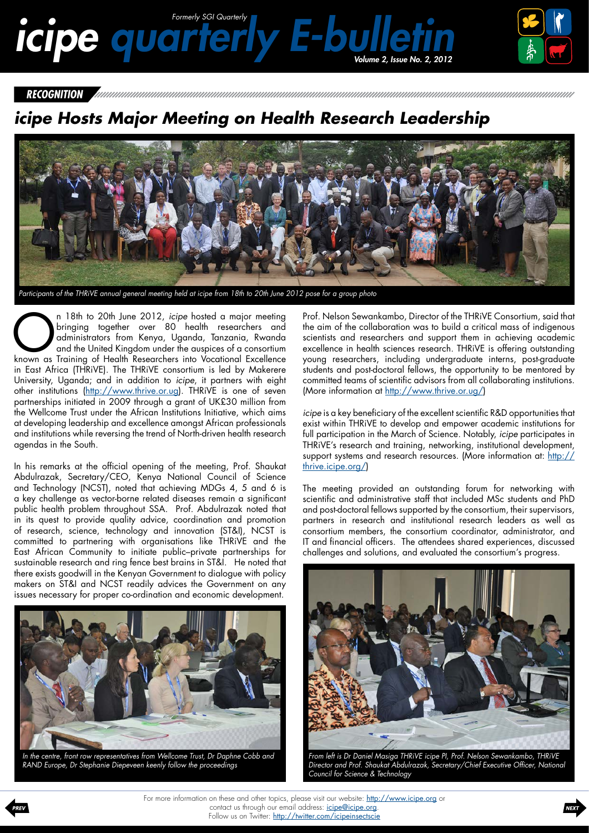# <span id="page-1-0"></span>*icipe quarterly E-bulletin Volume 2, Issue no. 2, 2012*



*Recognition*

agendas in the South.

# *icipe Hosts Major Meeting on Health Research Leadership*



In 18th to 20th June 2012, *icipe* hosted a major meeting<br>bringing together over 80 health researchers and<br>and the United Kingdom under the auspices of a consortium<br>known as Training of Health Researchers into Vocational E bringing together over 80 health researchers and administrators from Kenya, Uganda, Tanzania, Rwanda and the United Kingdom under the auspices of a consortium known as Training of Health Researchers into Vocational Excellence in East Africa (THRiVE). The THRiVE consortium is led by Makerere University, Uganda; and in addition to *icipe*, it partners with eight other institutions [\(http://www.thrive.or.ug](http://www.thrive.or.ug/)). THRiVE is one of seven partnerships initiated in 2009 through a grant of UK£30 million from the Wellcome Trust under the African Institutions Initiative, which aims at developing leadership and excellence amongst African professionals and institutions while reversing the trend of North-driven health research

In his remarks at the official opening of the meeting, Prof. Shaukat Abdulrazak, Secretary/CEO, Kenya National Council of Science and Technology (NCST), noted that achieving MDGs 4, 5 and 6 is a key challenge as vector-borne related diseases remain a significant public health problem throughout SSA. Prof. Abdulrazak noted that in its quest to provide quality advice, coordination and promotion of research, science, technology and innovation (ST&I), NCST is committed to partnering with organisations like THRiVE and the East African Community to initiate public–private partnerships for sustainable research and ring fence best brains in ST&I. He noted that there exists goodwill in the Kenyan Government to dialogue with policy makers on ST&I and NCST readily advices the Government on any issues necessary for proper co-ordination and economic development.



*In the centre, front row representatives from Wellcome Trust, Dr Daphne Cobb and RAND Europe, Dr Stephanie Diepeveen keenly follow the proceedings*

Prof. Nelson Sewankambo, Director of the THRiVE Consortium, said that the aim of the collaboration was to build a critical mass of indigenous scientists and researchers and support them in achieving academic excellence in health sciences research. THRiVE is offering outstanding young researchers, including undergraduate interns, post-graduate students and post-doctoral fellows, the opportunity to be mentored by committed teams of scientific advisors from all collaborating institutions. (More information at [http://www.thrive.or.ug/\)](http://www.thrive.or.ug/)

*icipe* is a key beneficiary of the excellent scientific R&D opportunities that exist within THRiVE to develop and empower academic institutions for full participation in the March of Science. Notably, *icipe* participates in THRiVE's research and training, networking, institutional development, support systems and research resources. (More information at: [http://](http://thrive.icipe.org/) [thrive.icipe.org/](http://thrive.icipe.org/))

The meeting provided an outstanding forum for networking with scientific and administrative staff that included MSc students and PhD and post-doctoral fellows supported by the consortium, their supervisors, partners in research and institutional research leaders as well as consortium members, the consortium coordinator, administrator, and IT and financial officers. The attendees shared experiences, discussed challenges and solutions, and evaluated the consortium's progress.



*From left is Dr Daniel Masiga THRiVE icipe PI, Prof. Nelson Sewankambo, THRiVE Director and Prof. Shaukat Abdulrazak, Secretary/Chief Executive Officer, National Council for Science & Technology*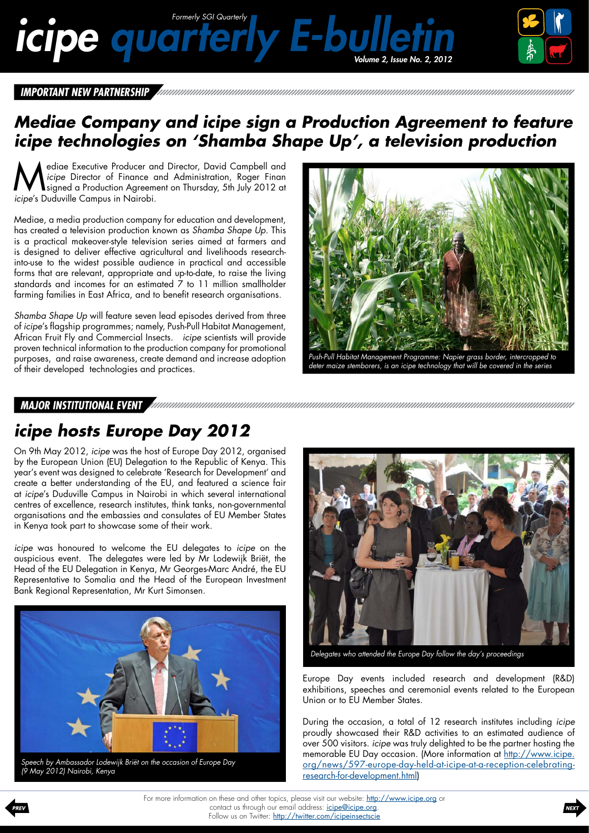# <span id="page-2-0"></span>*icipe quarterly E-bulletin Formerly SGI Quarterly*



*Important New Partnership*

## *Mediae Company and icipe sign a Production Agreement to feature icipe technologies on 'Shamba Shape Up', a television production*

Mediae Executive Producer and Director, David Campbell and *icipe* Director of Finance and Administration, Roger Finan signed a Production Agreement on Thursday, 5th July 2012 at *icipe's* Dudwille Campus in Naisebi *icipe* Director of Finance and Administration, Roger Finan *icipe*'s Duduville Campus in Nairobi.

Mediae, a media production company for education and development, has created a television production known as *Shamba Shape Up.* This is a practical makeover-style television series aimed at farmers and is designed to deliver effective agricultural and livelihoods researchinto-use to the widest possible audience in practical and accessible forms that are relevant, appropriate and up-to-date, to raise the living standards and incomes for an estimated 7 to 11 million smallholder farming families in East Africa, and to benefit research organisations.

*Shamba Shape Up* will feature seven lead episodes derived from three of *icipe*'s flagship programmes; namely, Push-Pull Habitat Management, African Fruit Fly and Commercial Insects. *icipe* scientists will provide proven technical information to the production company for promotional purposes, and raise awareness, create demand and increase adoption of their developed technologies and practices.



*Major Institutional Event*

## *icipe hosts Europe Day 2012*

On 9th May 2012, *icipe* was the host of Europe Day 2012, organised by the European Union (EU) Delegation to the Republic of Kenya. This year's event was designed to celebrate 'Research for Development' and create a better understanding of the EU, and featured a science fair at *icipe*'s Duduville Campus in Nairobi in which several international centres of excellence, research institutes, think tanks, non-governmental organisations and the embassies and consulates of EU Member States in Kenya took part to showcase some of their work.

*icipe* was honoured to welcome the EU delegates to *icipe* on the auspicious event. The delegates were led by Mr Lodewijk Briët, the Head of the EU Delegation in Kenya, Mr Georges-Marc André, the EU Representative to Somalia and the Head of the European Investment Bank Regional Representation, Mr Kurt Simonsen.



*Speech by Ambassador Lodewijk Briët on the occasion of Europe Day (9 May 2012) Nairobi, Kenya*



*Delegates who attended the Europe Day follow the day's proceedings*

Europe Day events included research and development (R&D) exhibitions, speeches and ceremonial events related to the European Union or to EU Member States.

During the occasion, a total of 12 research institutes including *icipe* proudly showcased their R&D activities to an estimated audience of over 500 visitors. *icipe* was truly delighted to be the partner hosting the memorable EU Day occasion. (More information at [http://www.icipe.](http://www.icipe.org/news/597-europe-day-held-at-icipe-at-a-reception-celebrating-research-for-development.html) [org/news/597-europe-day-held-at-icipe-at-a-reception-celebrating](http://www.icipe.org/news/597-europe-day-held-at-icipe-at-a-reception-celebrating-research-for-development.html)[research-for-development.html\)](http://www.icipe.org/news/597-europe-day-held-at-icipe-at-a-reception-celebrating-research-for-development.html)